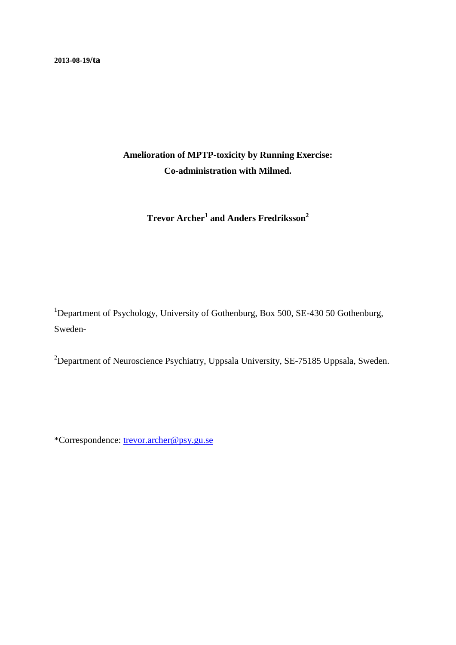# **Amelioration of MPTP-toxicity by Running Exercise: Co-administration with Milmed.**

**Trevor Archer<sup>1</sup> and Anders Fredriksson<sup>2</sup>**

<sup>1</sup>Department of Psychology, University of Gothenburg, Box 500, SE-430 50 Gothenburg, Sweden-

<sup>2</sup>Department of Neuroscience Psychiatry, Uppsala University, SE-75185 Uppsala, Sweden.

\*Correspondence: [trevor.archer@psy.gu.se](mailto:trevor.archer@psy.gu.se)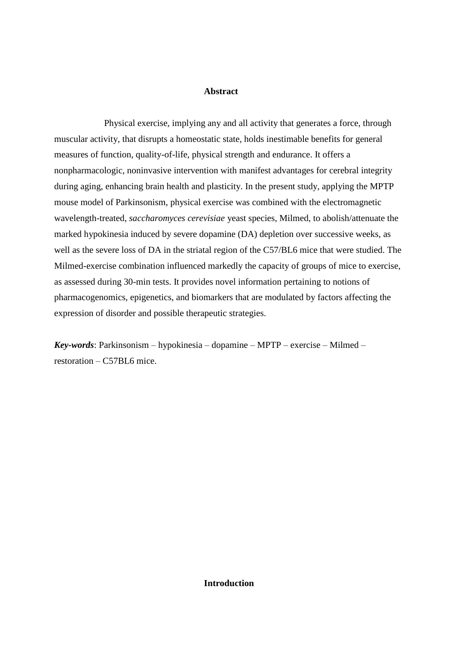# **Abstract**

Physical exercise, implying any and all activity that generates a force, through muscular activity, that disrupts a homeostatic state, holds inestimable benefits for general measures of function, quality-of-life, physical strength and endurance. It offers a nonpharmacologic, noninvasive intervention with manifest advantages for cerebral integrity during aging, enhancing brain health and plasticity. In the present study, applying the MPTP mouse model of Parkinsonism, physical exercise was combined with the electromagnetic wavelength-treated, *saccharomyces cerevisiae* yeast species, Milmed, to abolish/attenuate the marked hypokinesia induced by severe dopamine (DA) depletion over successive weeks, as well as the severe loss of DA in the striatal region of the C57/BL6 mice that were studied. The Milmed-exercise combination influenced markedly the capacity of groups of mice to exercise, as assessed during 30-min tests. It provides novel information pertaining to notions of pharmacogenomics, epigenetics, and biomarkers that are modulated by factors affecting the expression of disorder and possible therapeutic strategies.

*Key-words*: Parkinsonism – hypokinesia – dopamine – MPTP – exercise – Milmed – restoration – C57BL6 mice.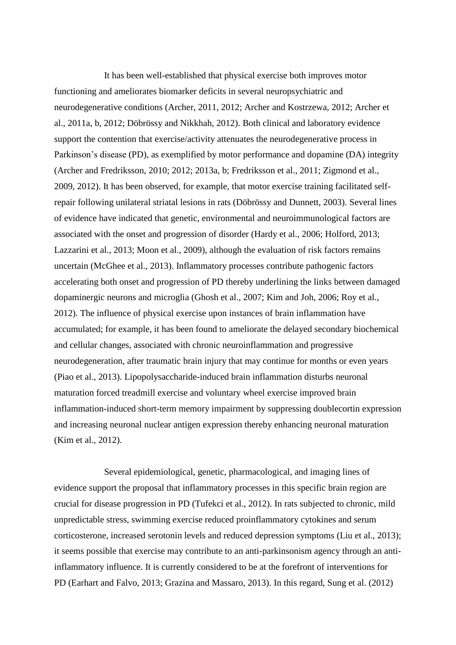It has been well-established that physical exercise both improves motor functioning and ameliorates biomarker deficits in several neuropsychiatric and neurodegenerative conditions (Archer, 2011, 2012; Archer and Kostrzewa, 2012; Archer et al., 2011a, b, 2012; Döbrössy and Nikkhah, 2012). Both clinical and laboratory evidence support the contention that exercise/activity attenuates the neurodegenerative process in Parkinson's disease (PD), as exemplified by motor performance and dopamine (DA) integrity (Archer and Fredriksson, 2010; 2012; 2013a, b; Fredriksson et al., 2011; Zigmond et al., 2009, 2012). It has been observed, for example, that motor exercise training facilitated selfrepair following unilateral striatal lesions in rats (Döbrössy and Dunnett, 2003). Several lines of evidence have indicated that genetic, environmental and neuroimmunological factors are associated with the onset and progression of disorder (Hardy et al., 2006; Holford, 2013; Lazzarini et al., 2013; Moon et al., 2009), although the evaluation of risk factors remains uncertain (McGhee et al., 2013). Inflammatory processes contribute pathogenic factors accelerating both onset and progression of PD thereby underlining the links between damaged dopaminergic neurons and microglia (Ghosh et al., 2007; Kim and Joh, 2006; Roy et al., 2012). The influence of physical exercise upon instances of brain inflammation have accumulated; for example, it has been found to ameliorate the delayed secondary biochemical and cellular changes, associated with chronic neuroinflammation and progressive neurodegeneration, after traumatic brain injury that may continue for months or even years (Piao et al., 2013). Lipopolysaccharide-induced brain inflammation disturbs neuronal maturation forced treadmill exercise and voluntary wheel exercise improved brain inflammation-induced short-term memory impairment by suppressing doublecortin expression and increasing neuronal nuclear antigen expression thereby enhancing neuronal maturation (Kim et al., 2012).

Several epidemiological, genetic, pharmacological, and imaging lines of evidence support the proposal that inflammatory processes in this specific brain region are crucial for disease progression in PD (Tufekci et al., 2012). In rats subjected to chronic, mild unpredictable stress, swimming exercise reduced proinflammatory cytokines and serum corticosterone, increased serotonin levels and reduced depression symptoms (Liu et al., 2013); it seems possible that exercise may contribute to an anti-parkinsonism agency through an antiinflammatory influence. It is currently considered to be at the forefront of interventions for PD (Earhart and Falvo, 2013; Grazina and Massaro, 2013). In this regard, Sung et al. (2012)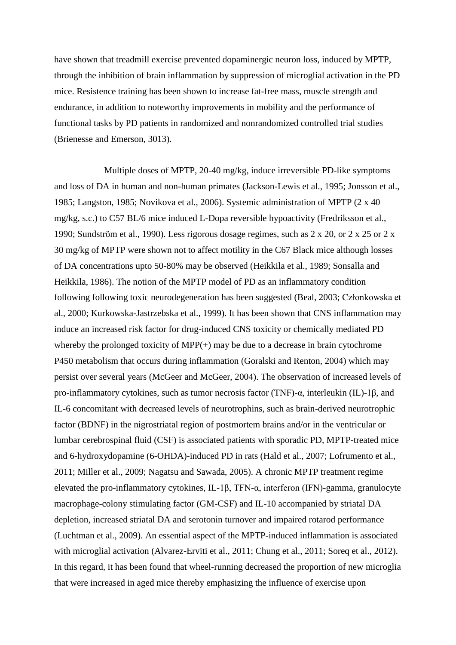have shown that treadmill exercise prevented dopaminergic neuron loss, induced by MPTP, through the inhibition of brain inflammation by suppression of microglial activation in the PD mice. Resistence training has been shown to increase fat-free mass, muscle strength and endurance, in addition to noteworthy improvements in mobility and the performance of functional tasks by PD patients in randomized and nonrandomized controlled trial studies (Brienesse and Emerson, 3013).

Multiple doses of MPTP, 20-40 mg/kg, induce irreversible PD-like symptoms and loss of DA in human and non-human primates (Jackson-Lewis et al., 1995; Jonsson et al., 1985; Langston, 1985; Novikova et al., 2006). Systemic administration of MPTP (2 x 40 mg/kg, s.c.) to C57 BL/6 mice induced L-Dopa reversible hypoactivity (Fredriksson et al., 1990; Sundström et al., 1990). Less rigorous dosage regimes, such as 2 x 20, or 2 x 25 or 2 x 30 mg/kg of MPTP were shown not to affect motility in the C67 Black mice although losses of DA concentrations upto 50-80% may be observed (Heikkila et al., 1989; Sonsalla and Heikkila, 1986). The notion of the MPTP model of PD as an inflammatory condition following following toxic neurodegeneration has been suggested (Beal, 2003; Członkowska et al., 2000; Kurkowska-Jastrzebska et al., 1999). It has been shown that CNS inflammation may induce an increased risk factor for drug-induced CNS toxicity or chemically mediated PD whereby the prolonged toxicity of  $MPP(+)$  may be due to a decrease in brain cytochrome P450 metabolism that occurs during inflammation (Goralski and Renton, 2004) which may persist over several years (McGeer and McGeer, 2004). The observation of increased levels of pro-inflammatory cytokines, such as tumor necrosis factor (TNF)-α, interleukin (IL)-1β, and IL-6 concomitant with decreased levels of neurotrophins, such as brain-derived neurotrophic factor (BDNF) in the nigrostriatal region of postmortem brains and/or in the ventricular or lumbar cerebrospinal fluid (CSF) is associated patients with sporadic PD, MPTP-treated mice and 6-hydroxydopamine (6-OHDA)-induced PD in rats (Hald et al., 2007; Lofrumento et al., 2011; Miller et al., 2009; Nagatsu and Sawada, 2005). A chronic MPTP treatment regime elevated the pro-inflammatory cytokines, IL-1β, TFN-α, interferon (IFN)-gamma, granulocyte macrophage-colony stimulating factor (GM-CSF) and IL-10 accompanied by striatal DA depletion, increased striatal DA and serotonin turnover and impaired rotarod performance (Luchtman et al., 2009). An essential aspect of the MPTP-induced inflammation is associated with microglial activation (Alvarez-Erviti et al., 2011; Chung et al., 2011; Soreq et al., 2012). In this regard, it has been found that wheel-running decreased the proportion of new microglia that were increased in aged mice thereby emphasizing the influence of exercise upon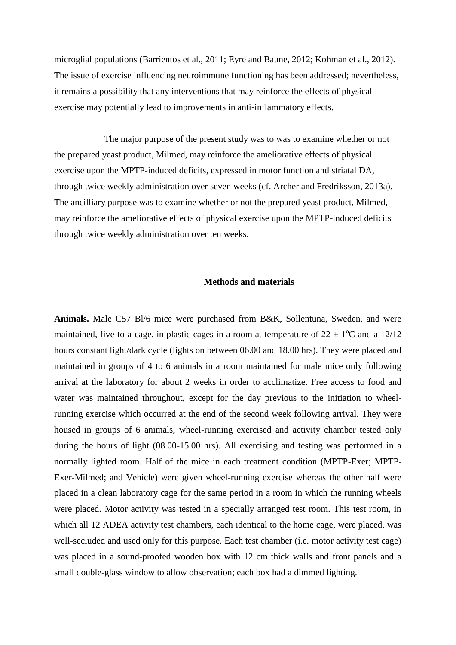microglial populations (Barrientos et al., 2011; Eyre and Baune, 2012; Kohman et al., 2012). The issue of exercise influencing neuroimmune functioning has been addressed; nevertheless, it remains a possibility that any interventions that may reinforce the effects of physical exercise may potentially lead to improvements in anti-inflammatory effects.

The major purpose of the present study was to was to examine whether or not the prepared yeast product, Milmed, may reinforce the ameliorative effects of physical exercise upon the MPTP-induced deficits, expressed in motor function and striatal DA, through twice weekly administration over seven weeks (cf. Archer and Fredriksson, 2013a). The ancilliary purpose was to examine whether or not the prepared yeast product, Milmed, may reinforce the ameliorative effects of physical exercise upon the MPTP-induced deficits through twice weekly administration over ten weeks.

# **Methods and materials**

**Animals.** Male C57 Bl/6 mice were purchased from B&K, Sollentuna, Sweden, and were maintained, five-to-a-cage, in plastic cages in a room at temperature of  $22 \pm 1$ °C and a 12/12 hours constant light/dark cycle (lights on between 06.00 and 18.00 hrs). They were placed and maintained in groups of 4 to 6 animals in a room maintained for male mice only following arrival at the laboratory for about 2 weeks in order to acclimatize. Free access to food and water was maintained throughout, except for the day previous to the initiation to wheelrunning exercise which occurred at the end of the second week following arrival. They were housed in groups of 6 animals, wheel-running exercised and activity chamber tested only during the hours of light (08.00-15.00 hrs). All exercising and testing was performed in a normally lighted room. Half of the mice in each treatment condition (MPTP-Exer; MPTP-Exer-Milmed; and Vehicle) were given wheel-running exercise whereas the other half were placed in a clean laboratory cage for the same period in a room in which the running wheels were placed. Motor activity was tested in a specially arranged test room. This test room, in which all 12 ADEA activity test chambers, each identical to the home cage, were placed, was well-secluded and used only for this purpose. Each test chamber (i.e. motor activity test cage) was placed in a sound-proofed wooden box with 12 cm thick walls and front panels and a small double-glass window to allow observation; each box had a dimmed lighting.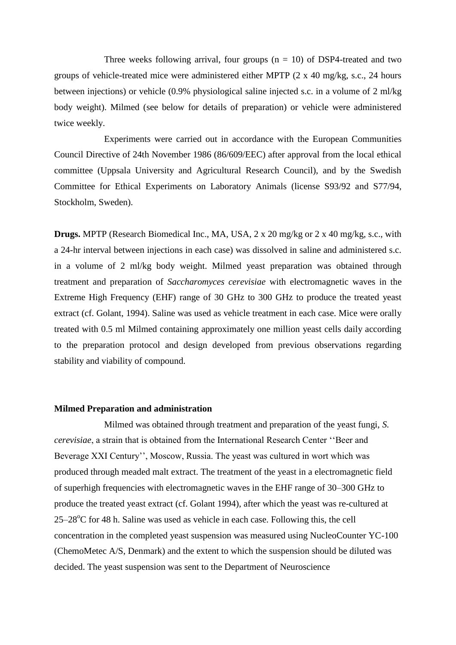Three weeks following arrival, four groups  $(n = 10)$  of DSP4-treated and two groups of vehicle-treated mice were administered either MPTP (2 x 40 mg/kg, s.c., 24 hours between injections) or vehicle (0.9% physiological saline injected s.c. in a volume of 2 ml/kg body weight). Milmed (see below for details of preparation) or vehicle were administered twice weekly.

Experiments were carried out in accordance with the European Communities Council Directive of 24th November 1986 (86/609/EEC) after approval from the local ethical committee (Uppsala University and Agricultural Research Council), and by the Swedish Committee for Ethical Experiments on Laboratory Animals (license S93/92 and S77/94, Stockholm, Sweden).

**Drugs.** MPTP (Research Biomedical Inc., MA, USA, 2 x 20 mg/kg or 2 x 40 mg/kg, s.c., with a 24-hr interval between injections in each case) was dissolved in saline and administered s.c. in a volume of 2 ml/kg body weight. Milmed yeast preparation was obtained through treatment and preparation of *Saccharomyces cerevisiae* with electromagnetic waves in the Extreme High Frequency (EHF) range of 30 GHz to 300 GHz to produce the treated yeast extract (cf. Golant, 1994). Saline was used as vehicle treatment in each case. Mice were orally treated with 0.5 ml Milmed containing approximately one million yeast cells daily according to the preparation protocol and design developed from previous observations regarding stability and viability of compound.

#### **Milmed Preparation and administration**

Milmed was obtained through treatment and preparation of the yeast fungi, *S. cerevisiae*, a strain that is obtained from the International Research Center ''Beer and Beverage XXI Century'', Moscow, Russia. The yeast was cultured in wort which was produced through meaded malt extract. The treatment of the yeast in a electromagnetic field of superhigh frequencies with electromagnetic waves in the EHF range of 30–300 GHz to produce the treated yeast extract (cf. Golant 1994), after which the yeast was re-cultured at  $25-28^{\circ}$ C for 48 h. Saline was used as vehicle in each case. Following this, the cell concentration in the completed yeast suspension was measured using NucleoCounter YC-100 (ChemoMetec A/S, Denmark) and the extent to which the suspension should be diluted was decided. The yeast suspension was sent to the Department of Neuroscience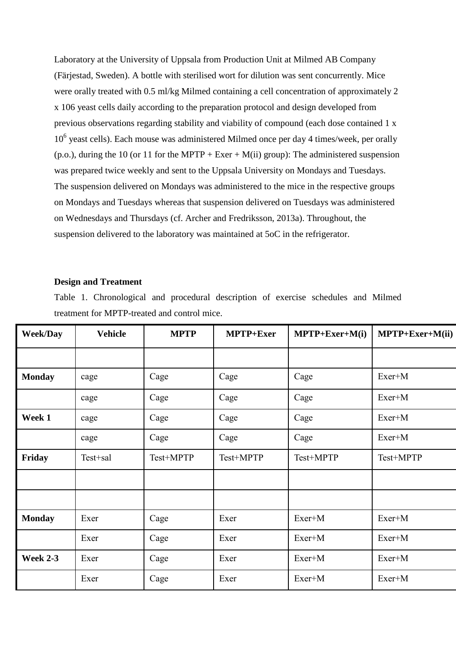Laboratory at the University of Uppsala from Production Unit at Milmed AB Company (Färjestad, Sweden). A bottle with sterilised wort for dilution was sent concurrently. Mice were orally treated with 0.5 ml/kg Milmed containing a cell concentration of approximately 2 x 106 yeast cells daily according to the preparation protocol and design developed from previous observations regarding stability and viability of compound (each dose contained 1 x 10<sup>6</sup> yeast cells). Each mouse was administered Milmed once per day 4 times/week, per orally (p.o.), during the 10 (or 11 for the MPTP + Exer + M(ii) group): The administered suspension was prepared twice weekly and sent to the Uppsala University on Mondays and Tuesdays. The suspension delivered on Mondays was administered to the mice in the respective groups on Mondays and Tuesdays whereas that suspension delivered on Tuesdays was administered on Wednesdays and Thursdays (cf. Archer and Fredriksson, 2013a). Throughout, the suspension delivered to the laboratory was maintained at 5oC in the refrigerator.

# **Design and Treatment**

Table 1. Chronological and procedural description of exercise schedules and Milmed treatment for MPTP-treated and control mice.

| <b>Week/Day</b> | <b>Vehicle</b> | <b>MPTP</b> | MPTP+Exer | $MPTP + Exer+M(i)$ | MPTP+Exer+M(ii) |
|-----------------|----------------|-------------|-----------|--------------------|-----------------|
|                 |                |             |           |                    |                 |
| <b>Monday</b>   | cage           | Cage        | Cage      | Cage               | Exer+M          |
|                 | cage           | Cage        | Cage      | Cage               | Exer+M          |
| Week 1          | cage           | Cage        | Cage      | Cage               | $Exer+M$        |
|                 | cage           | Cage        | Cage      | Cage               | Exer+M          |
| Friday          | Test+sal       | Test+MPTP   | Test+MPTP | Test+MPTP          | Test+MPTP       |
|                 |                |             |           |                    |                 |
|                 |                |             |           |                    |                 |
| <b>Monday</b>   | Exer           | Cage        | Exer      | $Exer+M$           | $Exer+M$        |
|                 | Exer           | Cage        | Exer      | Exer+M             | Exer+M          |
| <b>Week 2-3</b> | Exer           | Cage        | Exer      | Exer+M             | Exer+M          |
|                 | Exer           | Cage        | Exer      | Exer+M             | Exer+M          |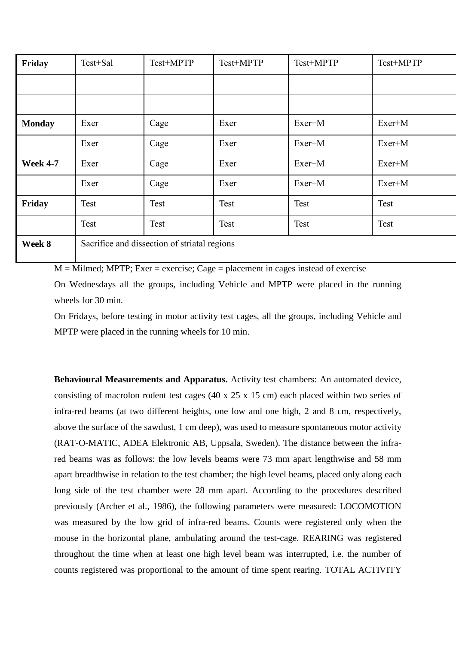| Friday                      | Test+Sal                                      | Test+MPTP | Test+MPTP   | Test+MPTP | Test+MPTP |  |
|-----------------------------|-----------------------------------------------|-----------|-------------|-----------|-----------|--|
|                             |                                               |           |             |           |           |  |
|                             |                                               |           |             |           |           |  |
| <b>Monday</b>               | Exer                                          | Cage      | Exer        | Exer+M    | Exer+M    |  |
|                             | Exer                                          | Cage      | Exer        | Exer+M    | Exer+M    |  |
| <b>Week 4-7</b>             | Exer                                          | Cage      | Exer        | Exer+M    | Exer+M    |  |
|                             | Exer                                          | Cage      | Exer        | Exer+M    | Exer+M    |  |
| Friday                      | <b>Test</b>                                   | Test      | <b>Test</b> | Test      | Test      |  |
|                             | <b>Test</b>                                   | Test      | Test        | Test      | Test      |  |
| $\mathbf{W}_{\text{total}}$ | Secritize and dissection of stricted regions. |           |             |           |           |  |

**Week 8** Sacrifice and dissection of striatal regions

 $M =$ Milmed; MPTP; Exer = exercise; Cage = placement in cages instead of exercise

On Wednesdays all the groups, including Vehicle and MPTP were placed in the running wheels for 30 min.

On Fridays, before testing in motor activity test cages, all the groups, including Vehicle and MPTP were placed in the running wheels for 10 min.

**Behavioural Measurements and Apparatus.** Activity test chambers: An automated device, consisting of macrolon rodent test cages (40 x 25 x 15 cm) each placed within two series of infra-red beams (at two different heights, one low and one high, 2 and 8 cm, respectively, above the surface of the sawdust, 1 cm deep), was used to measure spontaneous motor activity (RAT-O-MATIC, ADEA Elektronic AB, Uppsala, Sweden). The distance between the infrared beams was as follows: the low levels beams were 73 mm apart lengthwise and 58 mm apart breadthwise in relation to the test chamber; the high level beams, placed only along each long side of the test chamber were 28 mm apart. According to the procedures described previously (Archer et al., 1986), the following parameters were measured: LOCOMOTION was measured by the low grid of infra-red beams. Counts were registered only when the mouse in the horizontal plane, ambulating around the test-cage. REARING was registered throughout the time when at least one high level beam was interrupted, i.e. the number of counts registered was proportional to the amount of time spent rearing. TOTAL ACTIVITY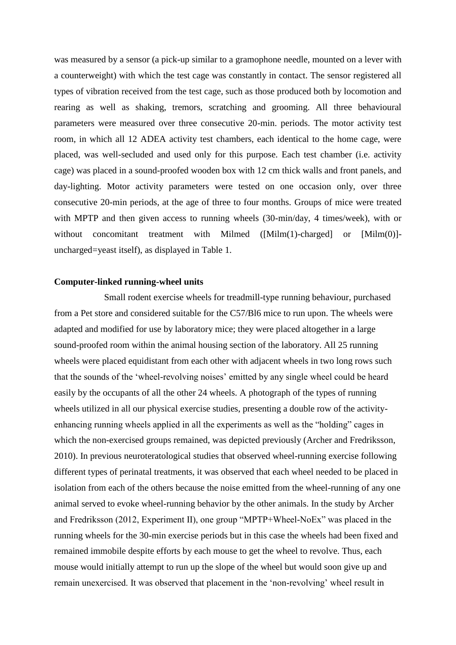was measured by a sensor (a pick-up similar to a gramophone needle, mounted on a lever with a counterweight) with which the test cage was constantly in contact. The sensor registered all types of vibration received from the test cage, such as those produced both by locomotion and rearing as well as shaking, tremors, scratching and grooming. All three behavioural parameters were measured over three consecutive 20-min. periods. The motor activity test room, in which all 12 ADEA activity test chambers, each identical to the home cage, were placed, was well-secluded and used only for this purpose. Each test chamber (i.e. activity cage) was placed in a sound-proofed wooden box with 12 cm thick walls and front panels, and day-lighting. Motor activity parameters were tested on one occasion only, over three consecutive 20-min periods, at the age of three to four months. Groups of mice were treated with MPTP and then given access to running wheels (30-min/day, 4 times/week), with or without concomitant treatment with Milmed ([Milm(1)-charged] or [Milm(0)]uncharged=yeast itself), as displayed in Table 1.

#### **Computer-linked running-wheel units**

Small rodent exercise wheels for treadmill-type running behaviour, purchased from a Pet store and considered suitable for the C57/Bl6 mice to run upon. The wheels were adapted and modified for use by laboratory mice; they were placed altogether in a large sound-proofed room within the animal housing section of the laboratory. All 25 running wheels were placed equidistant from each other with adjacent wheels in two long rows such that the sounds of the 'wheel-revolving noises' emitted by any single wheel could be heard easily by the occupants of all the other 24 wheels. A photograph of the types of running wheels utilized in all our physical exercise studies, presenting a double row of the activityenhancing running wheels applied in all the experiments as well as the "holding" cages in which the non-exercised groups remained, was depicted previously (Archer and Fredriksson, 2010). In previous neuroteratological studies that observed wheel-running exercise following different types of perinatal treatments, it was observed that each wheel needed to be placed in isolation from each of the others because the noise emitted from the wheel-running of any one animal served to evoke wheel-running behavior by the other animals. In the study by Archer and Fredriksson (2012, Experiment II), one group "MPTP+Wheel-NoEx" was placed in the running wheels for the 30-min exercise periods but in this case the wheels had been fixed and remained immobile despite efforts by each mouse to get the wheel to revolve. Thus, each mouse would initially attempt to run up the slope of the wheel but would soon give up and remain unexercised. It was observed that placement in the 'non-revolving' wheel result in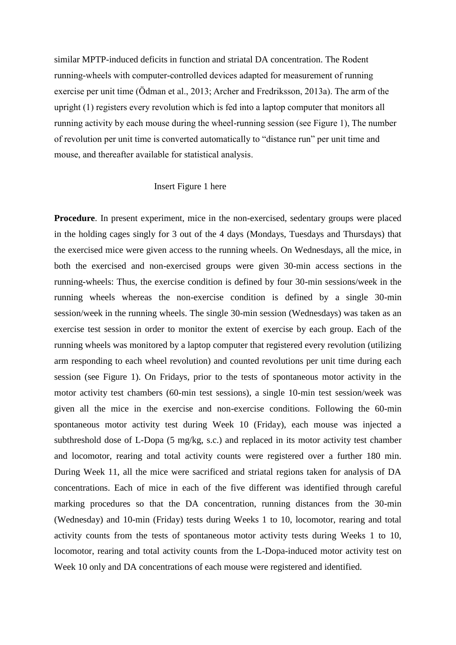similar MPTP-induced deficits in function and striatal DA concentration. The Rodent running-wheels with computer-controlled devices adapted for measurement of running exercise per unit time (Ödman et al., 2013; Archer and Fredriksson, 2013a). The arm of the upright (1) registers every revolution which is fed into a laptop computer that monitors all running activity by each mouse during the wheel-running session (see Figure 1), The number of revolution per unit time is converted automatically to "distance run" per unit time and mouse, and thereafter available for statistical analysis.

# Insert Figure 1 here

**Procedure**. In present experiment, mice in the non-exercised, sedentary groups were placed in the holding cages singly for 3 out of the 4 days (Mondays, Tuesdays and Thursdays) that the exercised mice were given access to the running wheels. On Wednesdays, all the mice, in both the exercised and non-exercised groups were given 30-min access sections in the running-wheels: Thus, the exercise condition is defined by four 30-min sessions/week in the running wheels whereas the non-exercise condition is defined by a single 30-min session/week in the running wheels. The single 30-min session (Wednesdays) was taken as an exercise test session in order to monitor the extent of exercise by each group. Each of the running wheels was monitored by a laptop computer that registered every revolution (utilizing arm responding to each wheel revolution) and counted revolutions per unit time during each session (see Figure 1). On Fridays, prior to the tests of spontaneous motor activity in the motor activity test chambers (60-min test sessions), a single 10-min test session/week was given all the mice in the exercise and non-exercise conditions. Following the 60-min spontaneous motor activity test during Week 10 (Friday), each mouse was injected a subthreshold dose of L-Dopa (5 mg/kg, s.c.) and replaced in its motor activity test chamber and locomotor, rearing and total activity counts were registered over a further 180 min. During Week 11, all the mice were sacrificed and striatal regions taken for analysis of DA concentrations. Each of mice in each of the five different was identified through careful marking procedures so that the DA concentration, running distances from the 30-min (Wednesday) and 10-min (Friday) tests during Weeks 1 to 10, locomotor, rearing and total activity counts from the tests of spontaneous motor activity tests during Weeks 1 to 10, locomotor, rearing and total activity counts from the L-Dopa-induced motor activity test on Week 10 only and DA concentrations of each mouse were registered and identified.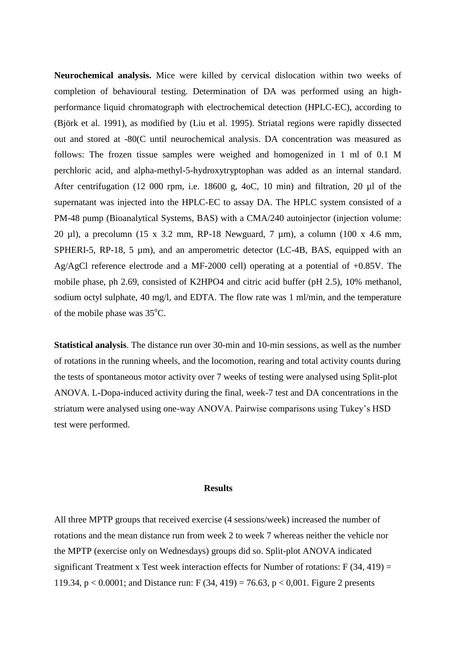**Neurochemical analysis.** Mice were killed by cervical dislocation within two weeks of completion of behavioural testing. Determination of DA was performed using an highperformance liquid chromatograph with electrochemical detection (HPLC-EC), according to (Björk et al. 1991), as modified by (Liu et al. 1995). Striatal regions were rapidly dissected out and stored at -80(C until neurochemical analysis. DA concentration was measured as follows: The frozen tissue samples were weighed and homogenized in 1 ml of 0.1 M perchloric acid, and alpha-methyl-5-hydroxytryptophan was added as an internal standard. After centrifugation (12 000 rpm, i.e. 18600 g, 4oC, 10 min) and filtration, 20 µl of the supernatant was injected into the HPLC-EC to assay DA. The HPLC system consisted of a PM-48 pump (Bioanalytical Systems, BAS) with a CMA/240 autoinjector (injection volume: 20 µl), a precolumn (15 x 3.2 mm, RP-18 Newguard, 7 µm), a column (100 x 4.6 mm, SPHERI-5, RP-18, 5  $\mu$ m), and an amperometric detector (LC-4B, BAS, equipped with an Ag/AgCl reference electrode and a MF-2000 cell) operating at a potential of +0.85V. The mobile phase, ph 2.69, consisted of K2HPO4 and citric acid buffer (pH 2.5), 10% methanol, sodium octyl sulphate, 40 mg/l, and EDTA. The flow rate was 1 ml/min, and the temperature of the mobile phase was  $35^{\circ}$ C.

**Statistical analysis**. The distance run over 30-min and 10-min sessions, as well as the number of rotations in the running wheels, and the locomotion, rearing and total activity counts during the tests of spontaneous motor activity over 7 weeks of testing were analysed using Split-plot ANOVA. L-Dopa-induced activity during the final, week-7 test and DA concentrations in the striatum were analysed using one-way ANOVA. Pairwise comparisons using Tukey's HSD test were performed.

#### **Results**

All three MPTP groups that received exercise (4 sessions/week) increased the number of rotations and the mean distance run from week 2 to week 7 whereas neither the vehicle nor the MPTP (exercise only on Wednesdays) groups did so. Split-plot ANOVA indicated significant Treatment x Test week interaction effects for Number of rotations:  $F(34, 419) =$ 119.34,  $p < 0.0001$ ; and Distance run: F (34, 419) = 76.63,  $p < 0.001$ . Figure 2 presents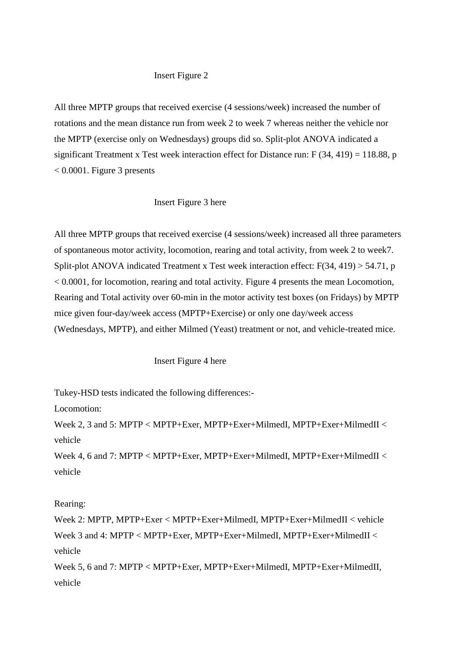# Insert Figure 2

All three MPTP groups that received exercise (4 sessions/week) increased the number of rotations and the mean distance run from week 2 to week 7 whereas neither the vehicle nor the MPTP (exercise only on Wednesdays) groups did so. Split-plot ANOVA indicated a significant Treatment x Test week interaction effect for Distance run:  $F(34, 419) = 118.88$ , p  $< 0.0001$ . Figure 3 presents

# Insert Figure 3 here

All three MPTP groups that received exercise (4 sessions/week) increased all three parameters of spontaneous motor activity, locomotion, rearing and total activity, from week 2 to week7. Split-plot ANOVA indicated Treatment x Test week interaction effect:  $F(34, 419) > 54.71$ , p < 0.0001, for locomotion, rearing and total activity. Figure 4 presents the mean Locomotion, Rearing and Total activity over 60-min in the motor activity test boxes (on Fridays) by MPTP mice given four-day/week access (MPTP+Exercise) or only one day/week access (Wednesdays, MPTP), and either Milmed (Yeast) treatment or not, and vehicle-treated mice.

#### Insert Figure 4 here

Tukey-HSD tests indicated the following differences:-

Locomotion:

Week 2, 3 and 5: MPTP < MPTP+Exer, MPTP+Exer+MilmedI, MPTP+Exer+MilmedII < vehicle

Week 4, 6 and 7: MPTP < MPTP+Exer, MPTP+Exer+MilmedI, MPTP+Exer+MilmedII < vehicle

# Rearing:

Week 2: MPTP, MPTP+Exer < MPTP+Exer+MilmedI, MPTP+Exer+MilmedII < vehicle Week 3 and 4: MPTP < MPTP+Exer, MPTP+Exer+MilmedI, MPTP+Exer+MilmedII < vehicle

Week 5, 6 and 7: MPTP < MPTP+Exer, MPTP+Exer+MilmedI, MPTP+Exer+MilmedII, vehicle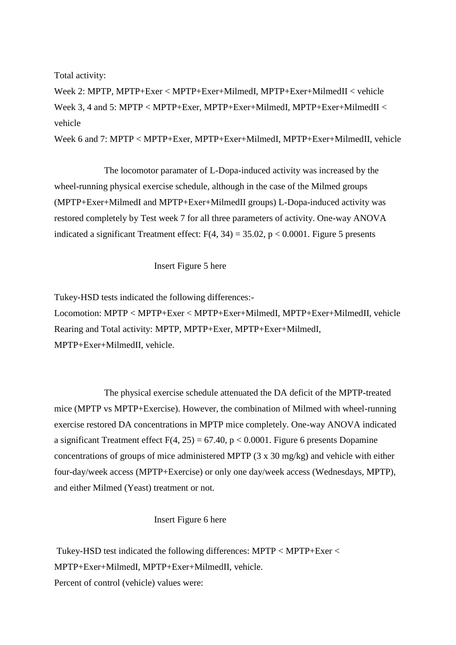Total activity:

Week 2: MPTP, MPTP+Exer < MPTP+Exer+MilmedI, MPTP+Exer+MilmedII < vehicle Week 3, 4 and 5: MPTP < MPTP+Exer, MPTP+Exer+MilmedI, MPTP+Exer+MilmedII < vehicle

Week 6 and 7: MPTP < MPTP+Exer, MPTP+Exer+MilmedI, MPTP+Exer+MilmedII, vehicle

The locomotor paramater of L-Dopa-induced activity was increased by the wheel-running physical exercise schedule, although in the case of the Milmed groups (MPTP+Exer+MilmedI and MPTP+Exer+MilmedII groups) L-Dopa-induced activity was restored completely by Test week 7 for all three parameters of activity. One-way ANOVA indicated a significant Treatment effect:  $F(4, 34) = 35.02$ ,  $p < 0.0001$ . Figure 5 presents

Insert Figure 5 here

Tukey-HSD tests indicated the following differences:- Locomotion: MPTP < MPTP+Exer < MPTP+Exer+MilmedI, MPTP+Exer+MilmedII, vehicle Rearing and Total activity: MPTP, MPTP+Exer, MPTP+Exer+MilmedI, MPTP+Exer+MilmedII, vehicle.

The physical exercise schedule attenuated the DA deficit of the MPTP-treated mice (MPTP vs MPTP+Exercise). However, the combination of Milmed with wheel-running exercise restored DA concentrations in MPTP mice completely. One-way ANOVA indicated a significant Treatment effect  $F(4, 25) = 67.40$ ,  $p < 0.0001$ . Figure 6 presents Dopamine concentrations of groups of mice administered MPTP (3 x 30 mg/kg) and vehicle with either four-day/week access (MPTP+Exercise) or only one day/week access (Wednesdays, MPTP), and either Milmed (Yeast) treatment or not.

# Insert Figure 6 here

Tukey-HSD test indicated the following differences: MPTP < MPTP+Exer < MPTP+Exer+MilmedI, MPTP+Exer+MilmedII, vehicle. Percent of control (vehicle) values were: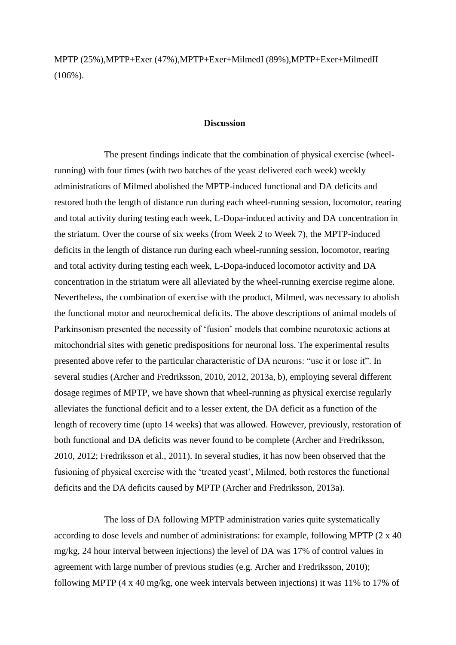MPTP (25%),MPTP+Exer (47%),MPTP+Exer+MilmedI (89%),MPTP+Exer+MilmedII  $(106\%)$ .

# **Discussion**

The present findings indicate that the combination of physical exercise (wheelrunning) with four times (with two batches of the yeast delivered each week) weekly administrations of Milmed abolished the MPTP-induced functional and DA deficits and restored both the length of distance run during each wheel-running session, locomotor, rearing and total activity during testing each week, L-Dopa-induced activity and DA concentration in the striatum. Over the course of six weeks (from Week 2 to Week 7), the MPTP-induced deficits in the length of distance run during each wheel-running session, locomotor, rearing and total activity during testing each week, L-Dopa-induced locomotor activity and DA concentration in the striatum were all alleviated by the wheel-running exercise regime alone. Nevertheless, the combination of exercise with the product, Milmed, was necessary to abolish the functional motor and neurochemical deficits. The above descriptions of animal models of Parkinsonism presented the necessity of 'fusion' models that combine neurotoxic actions at mitochondrial sites with genetic predispositions for neuronal loss. The experimental results presented above refer to the particular characteristic of DA neurons: "use it or lose it". In several studies (Archer and Fredriksson, 2010, 2012, 2013a, b), employing several different dosage regimes of MPTP, we have shown that wheel-running as physical exercise regularly alleviates the functional deficit and to a lesser extent, the DA deficit as a function of the length of recovery time (upto 14 weeks) that was allowed. However, previously, restoration of both functional and DA deficits was never found to be complete (Archer and Fredriksson, 2010, 2012; Fredriksson et al., 2011). In several studies, it has now been observed that the fusioning of physical exercise with the 'treated yeast', Milmed, both restores the functional deficits and the DA deficits caused by MPTP (Archer and Fredriksson, 2013a).

The loss of DA following MPTP administration varies quite systematically according to dose levels and number of administrations: for example, following MPTP (2 x 40 mg/kg, 24 hour interval between injections) the level of DA was 17% of control values in agreement with large number of previous studies (e.g. Archer and Fredriksson, 2010); following MPTP (4 x 40 mg/kg, one week intervals between injections) it was 11% to 17% of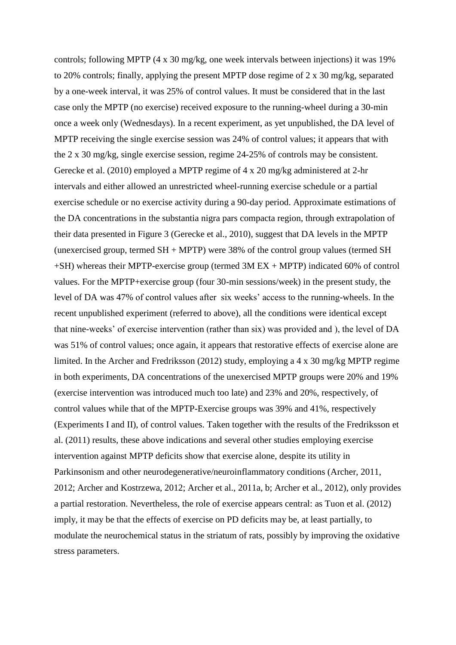controls; following MPTP (4 x 30 mg/kg, one week intervals between injections) it was 19% to 20% controls; finally, applying the present MPTP dose regime of  $2 \times 30$  mg/kg, separated by a one-week interval, it was 25% of control values. It must be considered that in the last case only the MPTP (no exercise) received exposure to the running-wheel during a 30-min once a week only (Wednesdays). In a recent experiment, as yet unpublished, the DA level of MPTP receiving the single exercise session was 24% of control values; it appears that with the 2 x 30 mg/kg, single exercise session, regime 24-25% of controls may be consistent. Gerecke et al. (2010) employed a MPTP regime of 4 x 20 mg/kg administered at 2-hr intervals and either allowed an unrestricted wheel-running exercise schedule or a partial exercise schedule or no exercise activity during a 90-day period. Approximate estimations of the DA concentrations in the substantia nigra pars compacta region, through extrapolation of their data presented in Figure 3 (Gerecke et al., 2010), suggest that DA levels in the MPTP (unexercised group, termed  $SH + MPTP$ ) were 38% of the control group values (termed SH +SH) whereas their MPTP-exercise group (termed 3M EX + MPTP) indicated 60% of control values. For the MPTP+exercise group (four 30-min sessions/week) in the present study, the level of DA was 47% of control values after six weeks' access to the running-wheels. In the recent unpublished experiment (referred to above), all the conditions were identical except that nine-weeks' of exercise intervention (rather than six) was provided and ), the level of DA was 51% of control values; once again, it appears that restorative effects of exercise alone are limited. In the Archer and Fredriksson (2012) study, employing a 4 x 30 mg/kg MPTP regime in both experiments, DA concentrations of the unexercised MPTP groups were 20% and 19% (exercise intervention was introduced much too late) and 23% and 20%, respectively, of control values while that of the MPTP-Exercise groups was 39% and 41%, respectively (Experiments I and II), of control values. Taken together with the results of the Fredriksson et al. (2011) results, these above indications and several other studies employing exercise intervention against MPTP deficits show that exercise alone, despite its utility in Parkinsonism and other neurodegenerative/neuroinflammatory conditions (Archer, 2011, 2012; Archer and Kostrzewa, 2012; Archer et al., 2011a, b; Archer et al., 2012), only provides a partial restoration. Nevertheless, the role of exercise appears central: as Tuon et al. (2012) imply, it may be that the effects of exercise on PD deficits may be, at least partially, to modulate the neurochemical status in the striatum of rats, possibly by improving the oxidative stress parameters.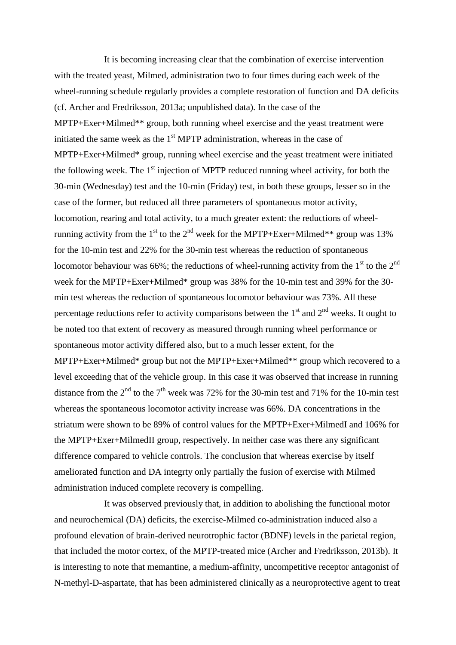It is becoming increasing clear that the combination of exercise intervention with the treated yeast, Milmed, administration two to four times during each week of the wheel-running schedule regularly provides a complete restoration of function and DA deficits (cf. Archer and Fredriksson, 2013a; unpublished data). In the case of the MPTP+Exer+Milmed\*\* group, both running wheel exercise and the yeast treatment were initiated the same week as the  $1<sup>st</sup> MPTP$  administration, whereas in the case of MPTP+Exer+Milmed\* group, running wheel exercise and the yeast treatment were initiated the following week. The  $1<sup>st</sup>$  injection of MPTP reduced running wheel activity, for both the 30-min (Wednesday) test and the 10-min (Friday) test, in both these groups, lesser so in the case of the former, but reduced all three parameters of spontaneous motor activity, locomotion, rearing and total activity, to a much greater extent: the reductions of wheelrunning activity from the 1<sup>st</sup> to the 2<sup>nd</sup> week for the MPTP+Exer+Milmed\*\* group was 13% for the 10-min test and 22% for the 30-min test whereas the reduction of spontaneous locomotor behaviour was 66%; the reductions of wheel-running activity from the 1<sup>st</sup> to the 2<sup>nd</sup> week for the MPTP+Exer+Milmed\* group was 38% for the 10-min test and 39% for the 30 min test whereas the reduction of spontaneous locomotor behaviour was 73%. All these percentage reductions refer to activity comparisons between the  $1<sup>st</sup>$  and  $2<sup>nd</sup>$  weeks. It ought to be noted too that extent of recovery as measured through running wheel performance or spontaneous motor activity differed also, but to a much lesser extent, for the MPTP+Exer+Milmed\* group but not the MPTP+Exer+Milmed\*\* group which recovered to a level exceeding that of the vehicle group. In this case it was observed that increase in running distance from the  $2<sup>nd</sup>$  to the  $7<sup>th</sup>$  week was 72% for the 30-min test and 71% for the 10-min test whereas the spontaneous locomotor activity increase was 66%. DA concentrations in the striatum were shown to be 89% of control values for the MPTP+Exer+MilmedI and 106% for the MPTP+Exer+MilmedII group, respectively. In neither case was there any significant difference compared to vehicle controls. The conclusion that whereas exercise by itself ameliorated function and DA integrty only partially the fusion of exercise with Milmed administration induced complete recovery is compelling.

It was observed previously that, in addition to abolishing the functional motor and neurochemical (DA) deficits, the exercise-Milmed co-administration induced also a profound elevation of brain-derived neurotrophic factor (BDNF) levels in the parietal region, that included the motor cortex, of the MPTP-treated mice (Archer and Fredriksson, 2013b). It is interesting to note that memantine, a medium-affinity, uncompetitive receptor antagonist of N-methyl-D-aspartate, that has been administered clinically as a neuroprotective agent to treat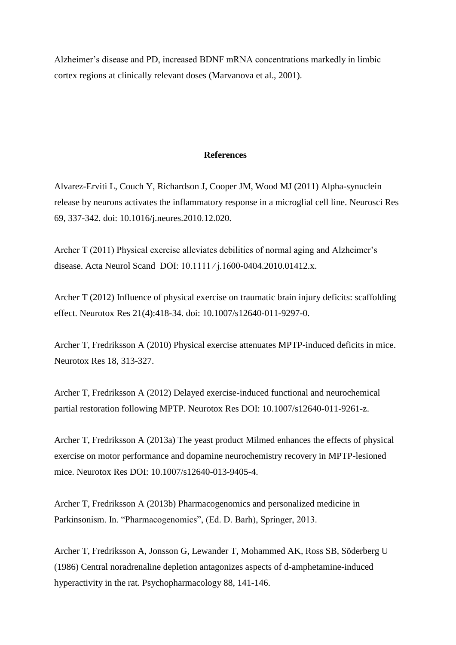Alzheimer's disease and PD, increased BDNF mRNA concentrations markedly in limbic cortex regions at clinically relevant doses (Marvanova et al., 2001).

## **References**

Alvarez-Erviti L, Couch Y, Richardson J, Cooper JM, Wood MJ (2011) [Alpha-synuclein](http://www.ncbi.nlm.nih.gov/pubmed/21255620)  [release by neurons activates the inflammatory response in a microglial cell line.](http://www.ncbi.nlm.nih.gov/pubmed/21255620) Neurosci Res 69, 337-342. doi: 10.1016/j.neures.2010.12.020.

Archer T (2011) Physical exercise alleviates debilities of normal aging and Alzheimer's disease. Acta Neurol Scand DOI: 10.1111 ⁄ j.1600-0404.2010.01412.x.

Archer T (2012) [Influence of physical exercise on traumatic brain injury deficits: scaffolding](http://www.ncbi.nlm.nih.gov/pubmed/22183422)  [effect.](http://www.ncbi.nlm.nih.gov/pubmed/22183422) Neurotox Res 21(4):418-34. doi: 10.1007/s12640-011-9297-0.

Archer T, Fredriksson A (2010) Physical exercise attenuates MPTP-induced deficits in mice. Neurotox Res 18, 313-327.

Archer T, Fredriksson A (2012) Delayed exercise-induced functional and neurochemical partial restoration following MPTP. Neurotox Res DOI: 10.1007/s12640-011-9261-z.

Archer T, Fredriksson A (2013a) The yeast product Milmed enhances the effects of physical exercise on motor performance and dopamine neurochemistry recovery in MPTP-lesioned mice. Neurotox Res DOI: 10.1007/s12640-013-9405-4.

Archer T, Fredriksson A (2013b) Pharmacogenomics and personalized medicine in Parkinsonism. In. "Pharmacogenomics", (Ed. D. Barh), Springer, 2013.

Archer T, Fredriksson A, Jonsson G, Lewander T, Mohammed AK, Ross SB, Söderberg U (1986) Central noradrenaline depletion antagonizes aspects of d-amphetamine-induced hyperactivity in the rat. Psychopharmacology 88, 141-146.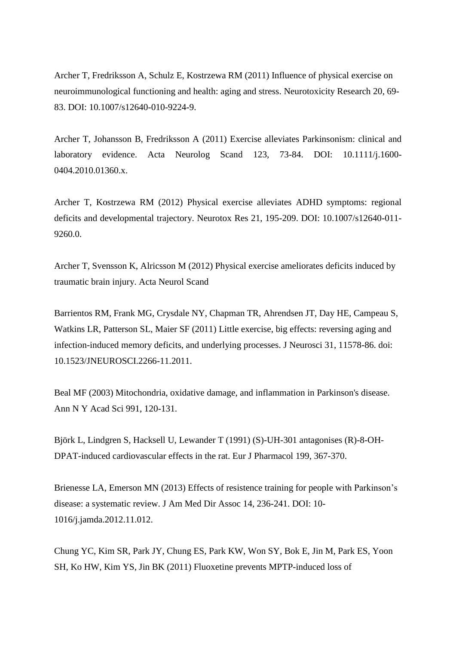Archer T, Fredriksson A, Schulz E, Kostrzewa RM (2011) Influence of physical exercise on neuroimmunological functioning and health: aging and stress. Neurotoxicity Research 20, 69- 83. DOI: 10.1007/s12640-010-9224-9.

Archer T, Johansson B, Fredriksson A (2011) Exercise alleviates Parkinsonism: clinical and laboratory evidence. Acta Neurolog Scand 123, 73-84. DOI: 10.1111/j.1600- 0404.2010.01360.x.

Archer T, Kostrzewa RM (2012) Physical exercise alleviates ADHD symptoms: regional deficits and developmental trajectory. Neurotox Res 21, 195-209. DOI: 10.1007/s12640-011- 9260.0.

Archer T, Svensson K, Alricsson M (2012) Physical exercise ameliorates deficits induced by traumatic brain injury. Acta Neurol Scand

Barrientos RM, Frank MG, Crysdale NY, Chapman TR, Ahrendsen JT, Day HE, Campeau S, Watkins LR, Patterson SL, Maier SF (2011) [Little exercise, big effects: reversing aging and](http://www.ncbi.nlm.nih.gov/pubmed/21832188)  [infection-induced memory deficits, and underlying processes.](http://www.ncbi.nlm.nih.gov/pubmed/21832188) J Neurosci 31, 11578-86. doi: 10.1523/JNEUROSCI.2266-11.2011.

Beal MF (2003) [Mitochondria, oxidative damage, and inflammation](http://www.ncbi.nlm.nih.gov/pubmed/12846981) in Parkinson's disease. Ann N Y Acad Sci 991, 120-131.

Björk L, Lindgren S, Hacksell U, Lewander T (1991) (S)-UH-301 antagonises (R)-8-OH-DPAT-induced cardiovascular effects in the rat. Eur J Pharmacol 199, 367-370.

Brienesse LA, Emerson MN (2013) Effects of resistence training for people with Parkinson's disease: a systematic review. J Am Med Dir Assoc 14, 236-241. DOI: 10- 1016/j.jamda.2012.11.012.

Chung YC, Kim SR, Park JY, Chung ES, Park KW, Won SY, Bok E, Jin M, Park ES, Yoon SH, Ko HW, Kim YS, Jin BK (2011) [Fluoxetine prevents MPTP-induced loss of](http://www.ncbi.nlm.nih.gov/pubmed/21288472)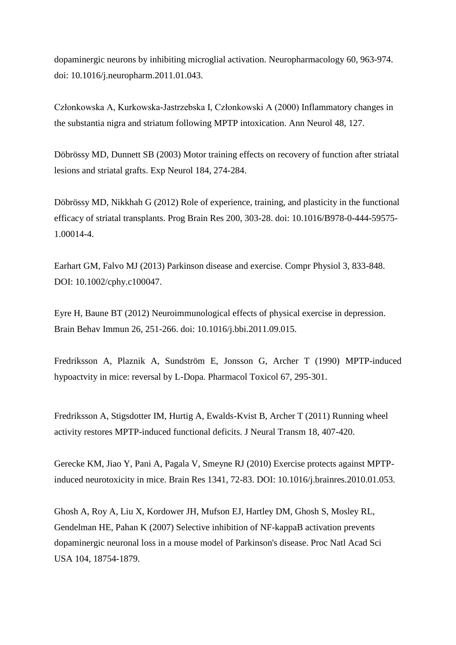[dopaminergic neurons by inhibiting microglial activation.](http://www.ncbi.nlm.nih.gov/pubmed/21288472) Neuropharmacology 60, 963-974. doi: 10.1016/j.neuropharm.2011.01.043.

Członkowska A, Kurkowska-Jastrzebska I, Członkowski A (2000) [Inflammatory changes in](http://www.ncbi.nlm.nih.gov/pubmed/10894230)  [the substantia nigra and striatum following MPTP](http://www.ncbi.nlm.nih.gov/pubmed/10894230) intoxication. Ann Neurol 48, 127.

Döbrössy MD, Dunnett SB (2003) Motor training effects on recovery of function after striatal lesions and striatal grafts. Exp Neurol 184, 274-284.

Döbrössy MD, Nikkhah G (2012) [Role of experience, training, and plasticity in the functional](http://www.ncbi.nlm.nih.gov/pubmed/23195425)  [efficacy of striatal transplants.](http://www.ncbi.nlm.nih.gov/pubmed/23195425) Prog Brain Res 200, 303-28. doi: 10.1016/B978-0-444-59575- 1.00014-4.

Earhart GM, Falvo MJ (2013) Parkinson disease and exercise. Compr Physiol 3, 833-848. DOI: 10.1002/cphy.c100047.

Eyre H, Baune BT (2012) [Neuroimmunological effects of physical exercise](http://www.ncbi.nlm.nih.gov/pubmed/21986304) in depression. Brain Behav Immun 26, 251-266. doi: 10.1016/j.bbi.2011.09.015.

Fredriksson A, Plaznik A, Sundström E, Jonsson G, Archer T (1990) MPTP-induced hypoactvity in mice: reversal by L-Dopa. Pharmacol Toxicol 67, 295-301.

Fredriksson A, Stigsdotter IM, Hurtig A, Ewalds-Kvist B, Archer T (2011) Running wheel activity restores MPTP-induced functional deficits. J Neural Transm 18, 407-420.

Gerecke KM, Jiao Y, Pani A, Pagala V, Smeyne RJ (2010) Exercise protects against MPTPinduced neurotoxicity in mice. Brain Res 1341, 72-83. DOI: 10.1016/j.brainres.2010.01.053.

Ghosh A, Roy A, Liu X, Kordower JH, Mufson EJ, Hartley DM, Ghosh S, Mosley RL, Gendelman HE, Pahan K (2007) [Selective inhibition of NF-kappaB activation prevents](http://www.ncbi.nlm.nih.gov/pubmed/18000063)  [dopaminergic neuronal loss in a mouse model of Parkinson's disease.](http://www.ncbi.nlm.nih.gov/pubmed/18000063) Proc Natl Acad Sci USA 104, 18754-1879.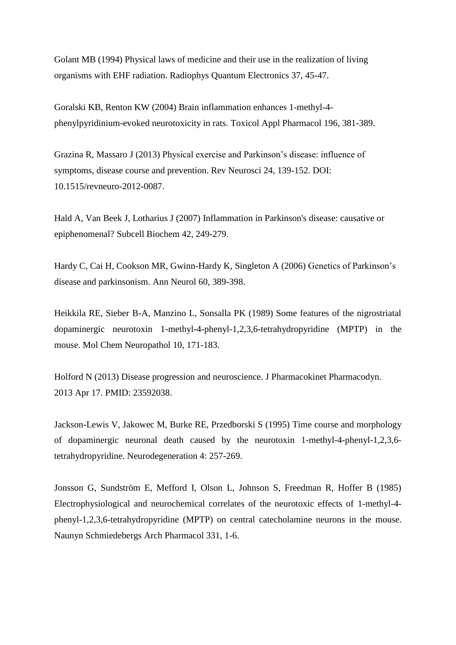Golant MB (1994) Physical laws of medicine and their use in the realization of living organisms with EHF radiation. Radiophys Quantum Electronics 37, 45-47.

Goralski KB, Renton KW (2004) Brain inflammation [enhances 1-methyl-4](http://www.ncbi.nlm.nih.gov/pubmed/15094308) [phenylpyridinium-evoked neurotoxicity in rats.](http://www.ncbi.nlm.nih.gov/pubmed/15094308) Toxicol Appl Pharmacol 196, 381-389.

Grazina R, Massaro J (2013) Physical exercise and Parkinson's disease: influence of symptoms, disease course and prevention. Rev Neurosci 24, 139-152. DOI: 10.1515/revneuro-2012-0087.

Hald A, Van Beek J, Lotharius J (2007) Inflammation [in Parkinson's disease: causative or](http://www.ncbi.nlm.nih.gov/pubmed/17612055)  [epiphenomenal?](http://www.ncbi.nlm.nih.gov/pubmed/17612055) Subcell Biochem 42, 249-279.

Hardy C, Cai H, Cookson MR, Gwinn-Hardy K, Singleton A (2006) Genetics of Parkinson's disease and parkinsonism. Ann Neurol 60, 389-398.

Heikkila RE, Sieber B-A, Manzino L, Sonsalla PK (1989) Some features of the nigrostriatal dopaminergic neurotoxin 1-methyl-4-phenyl-1,2,3,6-tetrahydropyridine (MPTP) in the mouse. Mol Chem Neuropathol 10, 171-183.

Holford N (2013) [Disease progression](http://www.ncbi.nlm.nih.gov/pubmed/23592038) and neuroscience. J Pharmacokinet Pharmacodyn. 2013 Apr 17. PMID: 23592038.

Jackson-Lewis V, Jakowec M, Burke RE, Przedborski S (1995) [Time course and morphology](http://www.ncbi.nlm.nih.gov/pubmed/8581558)  [of dopaminergic neuronal death caused by the neurotoxin 1-methyl-4-phenyl-1,2,3,6](http://www.ncbi.nlm.nih.gov/pubmed/8581558) [tetrahydrop](http://www.ncbi.nlm.nih.gov/pubmed/8581558)yridine. Neurodegeneration 4: 257-269.

Jonsson G, Sundström E, Mefford I, Olson L, Johnson S, Freedman R, Hoffer B (1985) [Electrophysiological and neurochemical correlates of the neurotoxic effects of 1-methyl-4](http://www.ncbi.nlm.nih.gov/pubmed/3877877) phenyl-1,2,3,6-tetrahydropyridine [\(MPTP\) on central catecholamine neurons in the mouse.](http://www.ncbi.nlm.nih.gov/pubmed/3877877) Naunyn Schmiedebergs Arch Pharmacol 331, 1-6.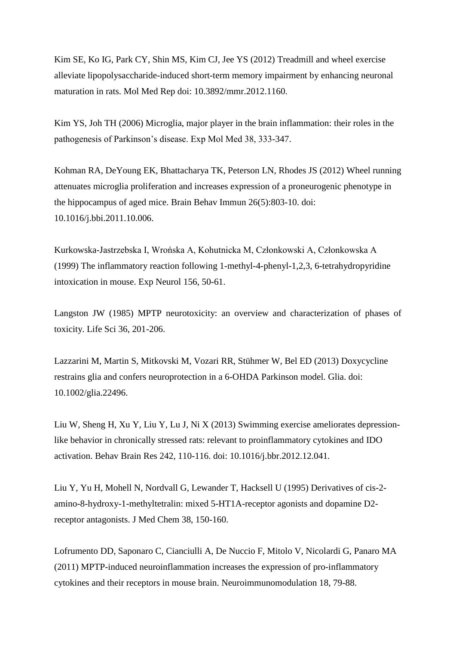Kim SE, Ko IG, Park CY, Shin MS, Kim CJ, Jee YS (2012) [Treadmill and wheel exercise](http://www.ncbi.nlm.nih.gov/pubmed/23128607) [alleviate lipopolysaccharide-induced short-term memory impairment by enhancing neuronal](http://www.ncbi.nlm.nih.gov/pubmed/23128607)  [maturation in rats.](http://www.ncbi.nlm.nih.gov/pubmed/23128607) Mol Med Rep doi: 10.3892/mmr.2012.1160.

Kim YS, Joh TH (2006) Microglia, major player in the brain inflammation: their roles in the pathogenesis of Parkinson's disease. Exp Mol Med 38, 333-347.

Kohman RA, DeYoung EK, Bhattacharya TK, Peterson LN, Rhodes JS (2012) [Wheel running](http://www.ncbi.nlm.nih.gov/pubmed/22056294)  attenuates microglia [proliferation and increases expression of a proneurogenic phenotype in](http://www.ncbi.nlm.nih.gov/pubmed/22056294)  [the hippocampus of aged mice.](http://www.ncbi.nlm.nih.gov/pubmed/22056294) Brain Behav Immun 26(5):803-10. doi: 10.1016/j.bbi.2011.10.006.

Kurkowska-Jastrzebska I, Wrońska A, Kohutnicka M, Członkowski A, Członkowska A (1999) [The inflammatory reaction following 1-methyl-4-phenyl-1,2,3, 6-tetrahydropyridine](http://www.ncbi.nlm.nih.gov/pubmed/10192776)  [intoxication in mouse.](http://www.ncbi.nlm.nih.gov/pubmed/10192776) Exp Neurol 156, 50-61.

Langston JW (1985) MPTP neurotoxicity: an overview and characterization of phases of toxicity. Life Sci 36, 201-206.

Lazzarini M, Martin S, Mitkovski M, Vozari RR, Stühmer W, Bel ED (2013) [Doxycycline](http://www.ncbi.nlm.nih.gov/pubmed/23595698)  [restrains glia and confers neuroprotection in a 6-OHDA Parkinson](http://www.ncbi.nlm.nih.gov/pubmed/23595698) model. Glia. doi: 10.1002/glia.22496.

Liu W, Sheng H, Xu Y, Liu Y, Lu J, Ni X (2013) Swimming exercise [ameliorates depression](http://www.ncbi.nlm.nih.gov/pubmed/23291157)[like behavior in chronically stressed rats: relevant to proinflammatory cytokines and IDO](http://www.ncbi.nlm.nih.gov/pubmed/23291157)  [activation.](http://www.ncbi.nlm.nih.gov/pubmed/23291157) Behav Brain Res 242, 110-116. doi: 10.1016/j.bbr.2012.12.041.

Liu Y, Yu H, Mohell N, Nordvall G, Lewander T, Hacksell U (1995) Derivatives of cis-2 amino-8-hydroxy-1-methyltetralin: mixed 5-HT1A-receptor agonists and dopamine D2 receptor antagonists. J Med Chem 38, 150-160.

Lofrumento DD, Saponaro C, Cianciulli A, De Nuccio F, Mitolo V, Nicolardi G, Panaro MA (2011) MPTP-induced neuroinflammation increases the expression of pro-inflammatory cytokines and their receptors in mouse brain. Neuroimmunomodulation 18, 79-88.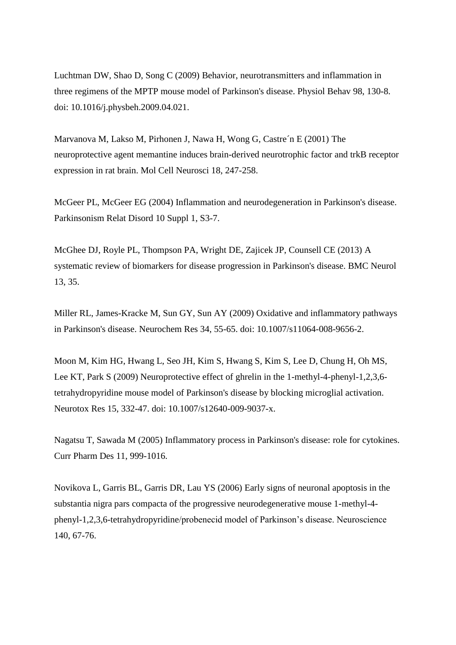Luchtman DW, Shao D, Song C (2009) [Behavior, neurotransmitters and inflammation](http://www.ncbi.nlm.nih.gov/pubmed/19410592) in three regimens of the MPTP [mouse model of Parkinson's disease.](http://www.ncbi.nlm.nih.gov/pubmed/19410592) Physiol Behav 98, 130-8. doi: 10.1016/j.physbeh.2009.04.021.

Marvanova M, Lakso M, Pirhonen J, Nawa H, Wong G, Castre´n E (2001) The neuroprotective agent memantine induces brain-derived neurotrophic factor and trkB receptor expression in rat brain. Mol Cell Neurosci 18, 247-258.

McGeer PL, McGeer EG (2004) Inflammation [and neurodegeneration in Parkinson's disease.](http://www.ncbi.nlm.nih.gov/pubmed/15109580) Parkinsonism Relat Disord 10 Suppl 1, S3-7.

McGhee DJ, Royle PL, Thompson PA, Wright DE, Zajicek JP, Counsell CE (2013) [A](http://www.ncbi.nlm.nih.gov/pubmed/23587062)  [systematic review of biomarkers for disease progression](http://www.ncbi.nlm.nih.gov/pubmed/23587062) in Parkinson's disease. BMC Neurol 13, 35.

Miller RL, James-Kracke M, Sun GY, Sun AY (2009) [Oxidative and inflammatory pathways](http://www.ncbi.nlm.nih.gov/pubmed/18363100)  [in Parkinson's disease.](http://www.ncbi.nlm.nih.gov/pubmed/18363100) Neurochem Res 34, 55-65. doi: 10.1007/s11064-008-9656-2.

Moon M, Kim HG, Hwang L, Seo JH, Kim S, Hwang S, Kim S, Lee D, Chung H, Oh MS, Lee KT, Park S (2009) [Neuroprotective effect of ghrelin in the 1-methyl-4-phenyl-1,2,3,6](http://www.ncbi.nlm.nih.gov/pubmed/19384567) [tetrahydropyridine mouse model of Parkinson's disease by blocking microglial activation.](http://www.ncbi.nlm.nih.gov/pubmed/19384567) Neurotox Res 15, 332-47. doi: 10.1007/s12640-009-9037-x.

Nagatsu T, Sawada M (2005) [Inflammatory process in Parkinson's disease: role for cytokines.](http://www.ncbi.nlm.nih.gov/pubmed/15777250) Curr Pharm Des 11, 999-1016.

Novikova L, Garris BL, Garris DR, Lau YS (2006) Early signs of neuronal apoptosis in the substantia nigra pars compacta of the progressive neurodegenerative mouse 1-methyl-4 phenyl-1,2,3,6-tetrahydropyridine/probenecid model of Parkinson's disease. Neuroscience 140, 67-76.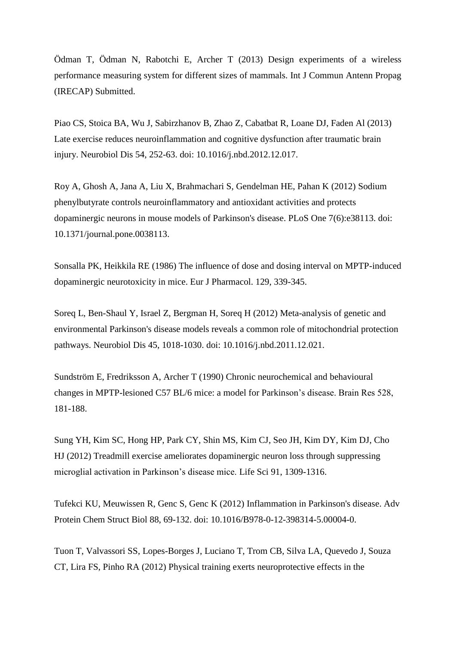Ödman T, Ödman N, Rabotchi E, Archer T (2013) Design experiments of a wireless performance measuring system for different sizes of mammals. Int J Commun Antenn Propag (IRECAP) Submitted.

Piao CS, Stoica BA, Wu J, Sabirzhanov B, Zhao Z, Cabatbat R, Loane DJ, Faden Al (2013) Late exercise [reduces neuroinflammation and cognitive dysfunction after traumatic brain](http://www.ncbi.nlm.nih.gov/pubmed/23313314) [injury.](http://www.ncbi.nlm.nih.gov/pubmed/23313314) Neurobiol Dis 54, 252-63. doi: 10.1016/j.nbd.2012.12.017.

Roy A, Ghosh A, Jana A, Liu X, Brahmachari S, Gendelman HE, Pahan K (2012) [Sodium](http://www.ncbi.nlm.nih.gov/pubmed/22723850)  [phenylbutyrate controls neuroinflammatory](http://www.ncbi.nlm.nih.gov/pubmed/22723850) and antioxidant activities and protects [dopaminergic neurons in mouse models of Parkinson's disease.](http://www.ncbi.nlm.nih.gov/pubmed/22723850) PLoS One 7(6):e38113. doi: 10.1371/journal.pone.0038113.

Sonsalla PK, Heikkila RE (1986) The influence of dose and dosing interval on MPTP-induced dopaminergic neurotoxicity in mice. Eur J Pharmacol. 129, 339-345.

Soreq L, Ben-Shaul Y, Israel Z, Bergman H, Soreq H (2012) [Meta-analysis of genetic and](http://www.ncbi.nlm.nih.gov/pubmed/22198569)  [environmental Parkinson's disease models reveals a common role of mitochondrial protection](http://www.ncbi.nlm.nih.gov/pubmed/22198569)  [pathways.](http://www.ncbi.nlm.nih.gov/pubmed/22198569) Neurobiol Dis 45, 1018-1030. doi: 10.1016/j.nbd.2011.12.021.

Sundström E, Fredriksson A, Archer T (1990) Chronic neurochemical and behavioural changes in MPTP-lesioned C57 BL/6 mice: a model for Parkinson's disease. Brain Res 528, 181-188.

Sung YH, Kim SC, Hong HP, Park CY, Shin MS, Kim CJ, Seo JH, Kim DY, Kim DJ, Cho HJ (2012) Treadmill exercise ameliorates dopaminergic neuron loss through suppressing microglial activation in Parkinson's disease mice. Life Sci 91, 1309-1316.

Tufekci KU, Meuwissen R, Genc S, Genc K (2012) Inflammation [in Parkinson's disease.](http://www.ncbi.nlm.nih.gov/pubmed/22814707) Adv Protein Chem Struct Biol 88, 69-132. doi: 10.1016/B978-0-12-398314-5.00004-0.

Tuon T, Valvassori SS, Lopes-Borges J, Luciano T, Trom CB, Silva LA, Quevedo J, Souza CT, Lira FS, Pinho RA (2012) [Physical training exerts neuroprotective effects in the](http://www.ncbi.nlm.nih.gov/pubmed/23041759)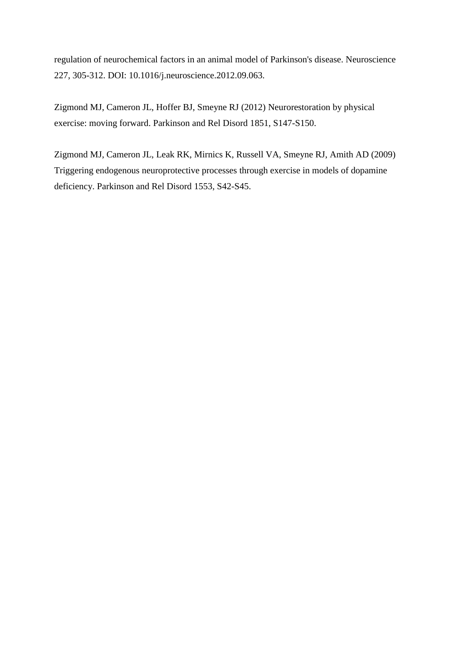[regulation of neurochemical factors in an animal model of Parkinson's disease.](http://www.ncbi.nlm.nih.gov/pubmed/23041759) Neuroscience 227, 305-312. DOI: 10.1016/j.neuroscience.2012.09.063.

Zigmond MJ, Cameron JL, Hoffer BJ, Smeyne RJ (2012) Neurorestoration by physical exercise: moving forward. Parkinson and Rel Disord 1851, S147-S150.

Zigmond MJ, Cameron JL, Leak RK, Mirnics K, Russell VA, Smeyne RJ, Amith AD (2009) Triggering endogenous neuroprotective processes through exercise in models of dopamine deficiency. Parkinson and Rel Disord 1553, S42-S45.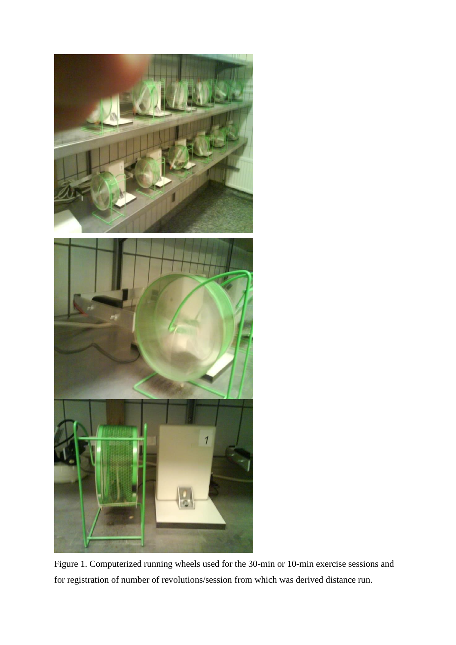

Figure 1. Computerized running wheels used for the 30-min or 10-min exercise sessions and for registration of number of revolutions/session from which was derived distance run.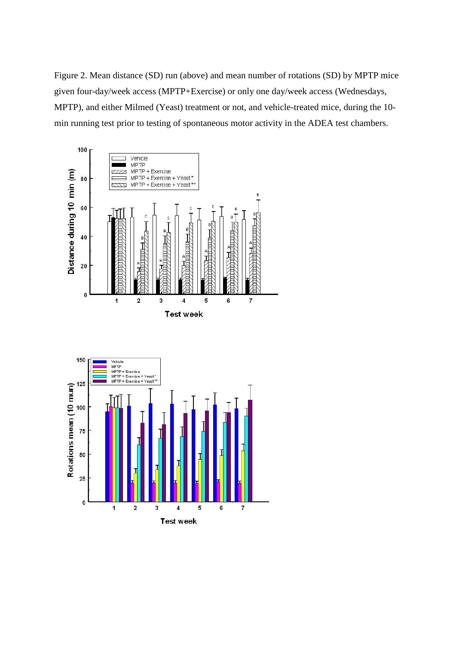Figure 2. Mean distance (SD) run (above) and mean number of rotations (SD) by MPTP mice given four-day/week access (MPTP+Exercise) or only one day/week access (Wednesdays, MPTP), and either Milmed (Yeast) treatment or not, and vehicle-treated mice, during the 10 min running test prior to testing of spontaneous motor activity in the ADEA test chambers.

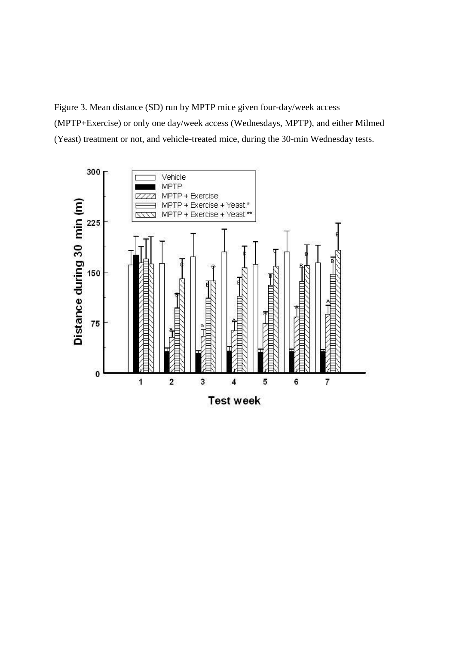Figure 3. Mean distance (SD) run by MPTP mice given four-day/week access (MPTP+Exercise) or only one day/week access (Wednesdays, MPTP), and either Milmed (Yeast) treatment or not, and vehicle-treated mice, during the 30-min Wednesday tests.

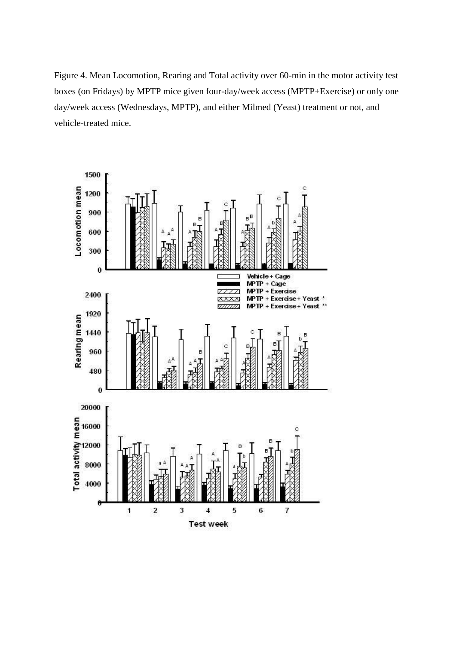Figure 4. Mean Locomotion, Rearing and Total activity over 60-min in the motor activity test boxes (on Fridays) by MPTP mice given four-day/week access (MPTP+Exercise) or only one day/week access (Wednesdays, MPTP), and either Milmed (Yeast) treatment or not, and vehicle-treated mice.

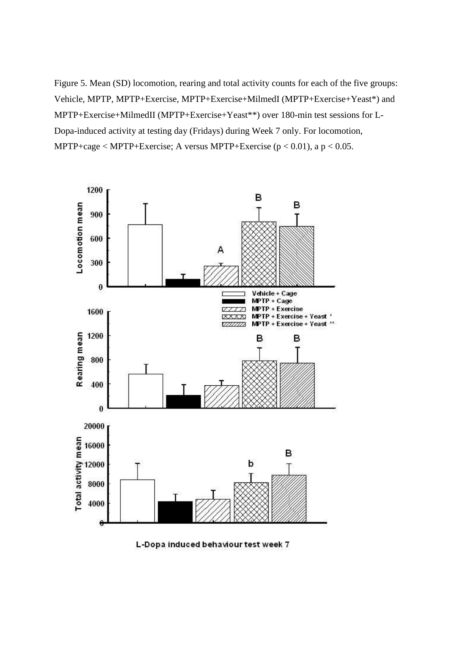Figure 5. Mean (SD) locomotion, rearing and total activity counts for each of the five groups: Vehicle, MPTP, MPTP+Exercise, MPTP+Exercise+MilmedI (MPTP+Exercise+Yeast\*) and MPTP+Exercise+MilmedII (MPTP+Exercise+Yeast\*\*) over 180-min test sessions for L-Dopa-induced activity at testing day (Fridays) during Week 7 only. For locomotion, MPTP+cage  $\langle$  MPTP+Exercise; A versus MPTP+Exercise ( $p$   $\langle$  0.01), a  $p$   $\langle$  0.05.



L-Dopa induced behaviour test week 7